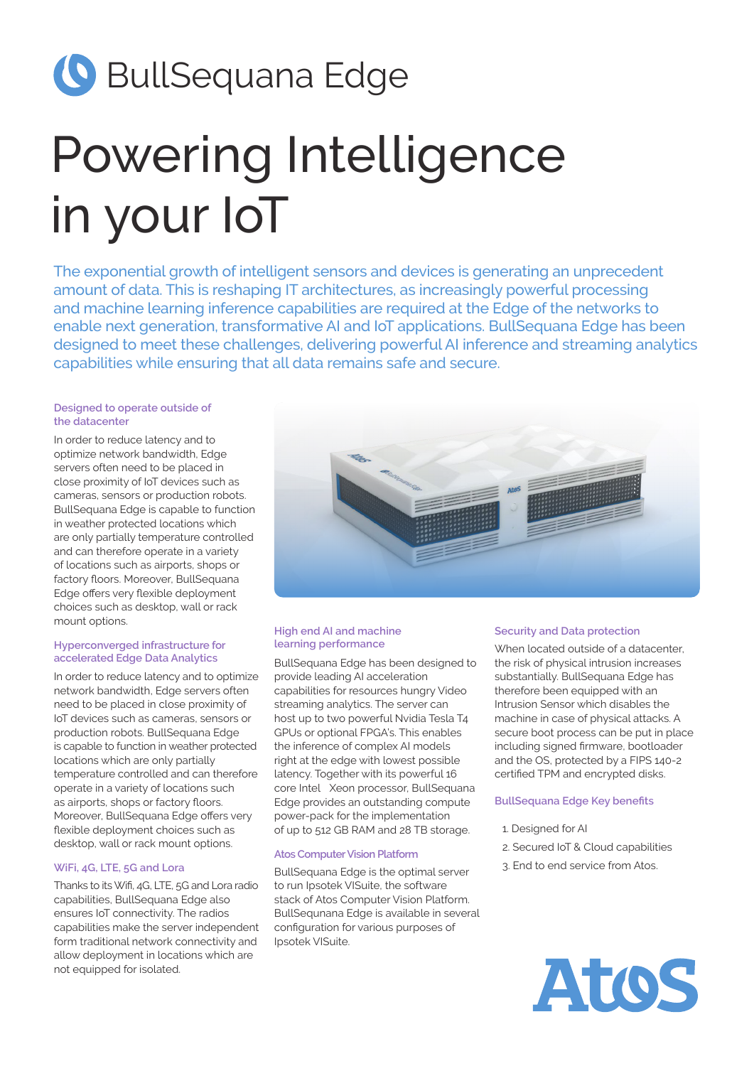# **G** BullSequana Edge

# Powering Intelligence in your IoT

The exponential growth of intelligent sensors and devices is generating an unprecedent amount of data. This is reshaping IT architectures, as increasingly powerful processing and machine learning inference capabilities are required at the Edge of the networks to enable next generation, transformative AI and IoT applications. BullSequana Edge has been designed to meet these challenges, delivering powerful AI inference and streaming analytics capabilities while ensuring that all data remains safe and secure.

#### **Designed to operate outside of the datacenter**

In order to reduce latency and to optimize network bandwidth, Edge servers often need to be placed in close proximity of IoT devices such as cameras, sensors or production robots. BullSequana Edge is capable to function in weather protected locations which are only partially temperature controlled and can therefore operate in a variety of locations such as airports, shops or factory floors. Moreover, BullSequana Edge offers very flexible deployment choices such as desktop, wall or rack mount options.

#### **Hyperconverged infrastructure for accelerated Edge Data Analytics**

In order to reduce latency and to optimize network bandwidth, Edge servers often need to be placed in close proximity of IoT devices such as cameras, sensors or production robots. BullSequana Edge is capable to function in weather protected locations which are only partially temperature controlled and can therefore operate in a variety of locations such as airports, shops or factory floors. Moreover, BullSequana Edge offers very flexible deployment choices such as desktop, wall or rack mount options.

#### **WiFi, 4G, LTE, 5G and Lora**

Thanks to its Wifi, 4G, LTE, 5G and Lora radio capabilities, BullSequana Edge also ensures IoT connectivity. The radios capabilities make the server independent form traditional network connectivity and allow deployment in locations which are not equipped for isolated.



#### **High end AI and machine learning performance**

BullSequana Edge has been designed to provide leading AI acceleration capabilities for resources hungry Video streaming analytics. The server can host up to two powerful Nvidia Tesla T4 GPUs or optional FPGA's. This enables the inference of complex AI models right at the edge with lowest possible latency. Together with its powerful 16 core Intel Xeon processor, BullSequana Edge provides an outstanding compute power-pack for the implementation of up to 512 GB RAM and 28 TB storage.

#### **Atos Computer Vision Platform**

BullSequana Edge is the optimal server to run Ipsotek VISuite, the software stack of Atos Computer Vision Platform. BullSequnana Edge is available in several configuration for various purposes of Ipsotek VISuite.

#### **Security and Data protection**

When located outside of a datacenter, the risk of physical intrusion increases substantially. BullSequana Edge has therefore been equipped with an Intrusion Sensor which disables the machine in case of physical attacks. A secure boot process can be put in place including signed firmware, bootloader and the OS, protected by a FIPS 140-2 certified TPM and encrypted disks.

#### **BullSequana Edge Key benefits**

- 1. Designed for AI
- 2. Secured IoT & Cloud capabilities
- 3. End to end service from Atos.

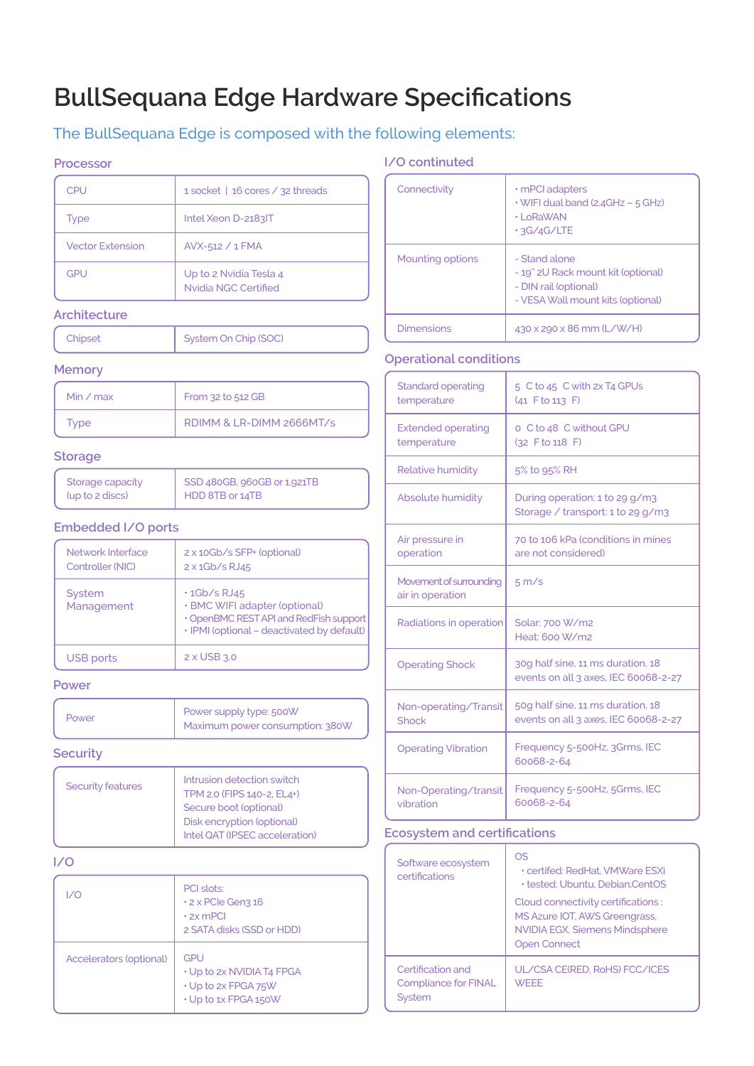# **BullSequana Edge Hardware Specifications**

# The BullSequana Edge is composed with the following elements:

### **Processor**

| <b>CPU</b>       | 1 socket   16 cores / 32 threads               |
|------------------|------------------------------------------------|
| <b>Type</b>      | Intel Xeon D-2183IT                            |
| Vector Extension | AVX-512 / 1 FMA                                |
| GPU              | Up to 2 Nvidia Tesla 4<br>Nvidia NGC Certified |

## **Architecture**

| System On Chip (SOC) |
|----------------------|
|                      |
|                      |

#### **Memory**

| Min $\angle$ max | From 32 to 512 GB        |
|------------------|--------------------------|
| Type             | RDIMM & LR-DIMM 2666MT/s |

#### **Storage**

| Storage capacity | $\vert$ SSD 480GB, 960GB or 1.921TB |
|------------------|-------------------------------------|
| (up to 2 discs)  | HDD 8TB or 14TB                     |

# **Embedded I/O ports**

| Network Interface<br>Controller (NIC) | 2 x 10Gb/s SFP+ (optional)<br>$2 \times 1$ Gb/s RJ45                                                                                        |
|---------------------------------------|---------------------------------------------------------------------------------------------------------------------------------------------|
| <b>System</b><br>Management           | $\cdot$ 1Gb/s RJ45<br>· BMC WIFI adapter (optional)<br>• OpenBMC REST API and RedFish support<br>· IPMI (optional - deactivated by default) |
| USB ports                             | 2 x USB 3.0                                                                                                                                 |

#### **Power**

## **Security**

| Security features | Intrusion detection switch<br>TPM 2.0 (FIPS 140-2, EL4+) |
|-------------------|----------------------------------------------------------|
|                   | Secure boot (optional)                                   |
|                   | Disk encryption (optional)                               |
|                   | Intel QAT (IPSEC acceleration)                           |
|                   |                                                          |

## **I/O**

| I/O                            | PCI slots:<br>$\cdot$ 2 x PCIe Gen3 16<br>$\cdot$ 2x mPCI<br>2 SATA disks (SSD or HDD) |
|--------------------------------|----------------------------------------------------------------------------------------|
| <b>Accelerators (optional)</b> | GPU<br>• Up to 2x NVIDIA T4 FPGA<br>• Up to 2x FPGA 75W<br>• Up to 1x FPGA 150W        |

# **I/O continuted**

| Connectivity      | $\cdot$ mPCI adapters<br>$\cdot$ WIFI dual band (2.4GHz – 5 GHz)<br>$\cdot$   $\circ$ RaWAN<br>$\cdot$ 3G/4G/LTE  |
|-------------------|-------------------------------------------------------------------------------------------------------------------|
| Mounting options  | - Stand alone<br>- 19" 2U Rack mount kit (optional)<br>- DIN rail (optional)<br>- VESA Wall mount kits (optional) |
| <b>Dimensions</b> | $430 \times 290 \times 86$ mm (L/W/H)                                                                             |

# **Operational conditions**

| <b>Standard operating</b><br>temperature    | 5 C to 45 C with 2x T4 GPUs<br>$(41$ F to 113 F)                          |
|---------------------------------------------|---------------------------------------------------------------------------|
| <b>Extended operating</b><br>temperature    | o C to 48 C without GPU<br>$(32$ F to 118 F)                              |
| Relative humidity                           | 5% to 95% RH                                                              |
| Absolute humidity                           | During operation: 1 to 29 g/m3<br>Storage / transport: 1 to 29 g/m3       |
| Air pressure in<br>operation                | 70 to 106 kPa (conditions in mines<br>are not considered)                 |
| Movement of surrounding<br>air in operation | $5 \text{ m/s}$                                                           |
| Radiations in operation                     | Solar: 700 W/m2<br>Heat: 600 W/m2                                         |
| <b>Operating Shock</b>                      | 30g half sine, 11 ms duration, 18<br>events on all 3 axes, IEC 60068-2-27 |
| Non-operating/Transit<br>Shock              | 50q half sine, 11 ms duration, 18<br>events on all 3 axes, IEC 60068-2-27 |
| <b>Operating Vibration</b>                  | Frequency 5-500Hz, 3Grms, IEC<br>60068-2-64                               |
| Non-Operating/transit<br>vibration          | Frequency 5-500Hz, 5Grms, IEC<br>60068-2-64                               |

# **Ecosystem and certifications**

| Software ecosystem<br>certifications                       | OS<br>• certifed: RedHat, VMWare ESXi<br><b>· tested: Ubuntu, Debian.CentOS</b>                                              |
|------------------------------------------------------------|------------------------------------------------------------------------------------------------------------------------------|
|                                                            | Cloud connectivity certifications:<br>MS Azure IOT, AWS Greengrass,<br>NVIDIA EGX, Siemens Mindsphere<br><b>Open Connect</b> |
| Certification and<br><b>Compliance for FINAL</b><br>System | UL/CSA CE(RED, RoHS) FCC/ICES<br><b>WFFFF</b>                                                                                |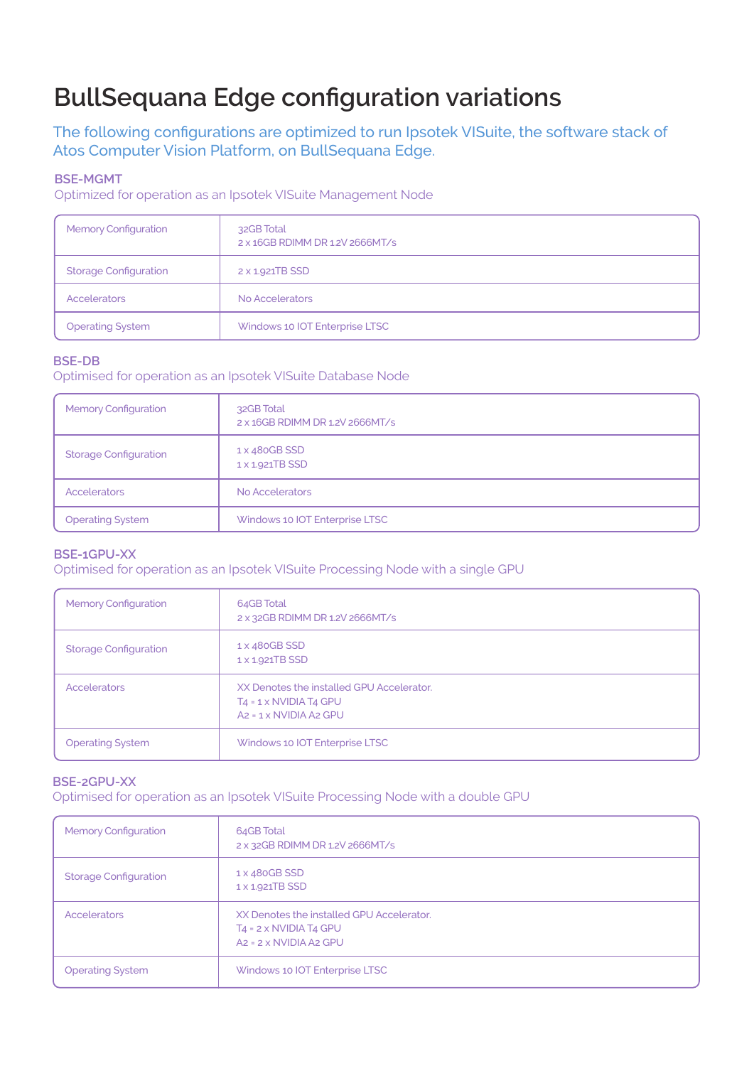# **BullSequana Edge configuration variations**

The following configurations are optimized to run Ipsotek VISuite, the software stack of Atos Computer Vision Platform, on BullSequana Edge.

# **BSE-MGMT**

Optimized for operation as an Ipsotek VISuite Management Node

| <b>Memory Configuration</b>  | 32GB Total<br>2 x 16GB RDIMM DR 1.2V 2666MT/s |
|------------------------------|-----------------------------------------------|
| <b>Storage Configuration</b> | 2 x 1.921TB SSD                               |
| <b>Accelerators</b>          | No Accelerators                               |
| <b>Operating System</b>      | Windows 10 IOT Enterprise LTSC                |

#### **BSE-DB**

Optimised for operation as an Ipsotek VISuite Database Node

| <b>Memory Configuration</b>  | 32GB Total<br>2 x 16GB RDIMM DR 1.2V 2666MT/s |
|------------------------------|-----------------------------------------------|
| <b>Storage Configuration</b> | 1 x 480GB SSD<br>1 x 1.921TB SSD              |
| Accelerators                 | No Accelerators                               |
| <b>Operating System</b>      | Windows 10 IOT Enterprise LTSC                |

## **BSE-1GPU-XX**

Optimised for operation as an Ipsotek VISuite Processing Node with a single GPU

| <b>Memory Configuration</b>  | 64GB Total<br>2 x 32GB RDIMM DR 1.2V 2666MT/s                                                                 |
|------------------------------|---------------------------------------------------------------------------------------------------------------|
| <b>Storage Configuration</b> | 1 x 480GB SSD<br>1 x 1.921TB SSD                                                                              |
| Accelerators                 | XX Denotes the installed GPU Accelerator.<br>$T_4 = 1 \times NVIDIA T_4 GPU$<br>$Az = 1 \times NVIDIA$ A2 GPU |
| <b>Operating System</b>      | Windows 10 IOT Enterprise LTSC                                                                                |

#### **BSE-2GPU-XX**

Optimised for operation as an Ipsotek VISuite Processing Node with a double GPU

| <b>Memory Configuration</b>  | 64GB Total<br>2 x 32GB RDIMM DR 1.2V 2666MT/s                                                               |
|------------------------------|-------------------------------------------------------------------------------------------------------------|
| <b>Storage Configuration</b> | 1 x 480GB SSD<br>1 x 1.921TB SSD                                                                            |
| Accelerators                 | XX Denotes the installed GPU Accelerator.<br>$T_4 = 2 \times NVIDIAT4$ GPU<br>$Az = 2 \times NVIDIA$ A2 GPU |
| <b>Operating System</b>      | Windows 10 IOT Enterprise LTSC                                                                              |